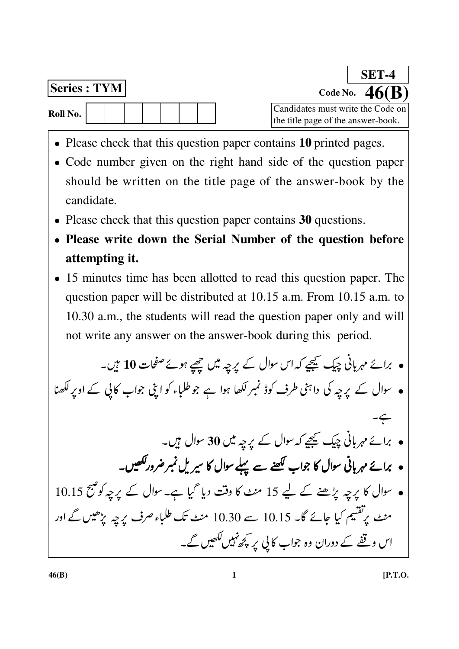| <b>Series: TYM</b> |  |  |  |  |  |
|--------------------|--|--|--|--|--|
| Roll No.           |  |  |  |  |  |

Code No.

SET-4

- Please check that this question paper contains 10 printed pages.
- Code number given on the right hand side of the question paper should be written on the title page of the answer-book by the candidate.
- Please check that this question paper contains 30 questions.
- Please write down the Serial Number of the question before attempting it.
- 15 minutes time has been allotted to read this question paper. The question paper will be distributed at 10.15 a.m. From 10.15 a.m. to 10.30 a.m., the students will read the question paper only and will not write any answer on the answer-book during this period.

• برائے مہربانی چیک کیجیے کہ اس سوال کے پرچہ میں چھپے ہوئے صفحات 10 ہیں۔ ہ سوال کے پرچہ کی داہنی طرف کوڈ نمبر لکھا ہوا ہے جو طلباء کو اپنی جواب کا پی کے اوپر لکھنا • برائے مہربانی چیک کیجیے کہ سوال کے یرچہ میں 30 سوال ہیں۔ ہ برائے مہربانی سوال کا جواب لکھنے سے پہلے سوال کا سیریل نمبر ضرور لکھیں۔ • سوال کا پرچہ پڑھنے کے لیے 15 منٹ کا وقت دیا گیا ہے۔سوال کے پرچہ کو صبح 10.15 منٹ پرتفسیم کیا جائے گا۔ 10.15 سے 10.30 منٹ تک طلباء صرف پرچہ پڑھیں گے اور اس وقفے کے دوران وہ جواب کا پی یر کچھ نہیں لکھیں گے۔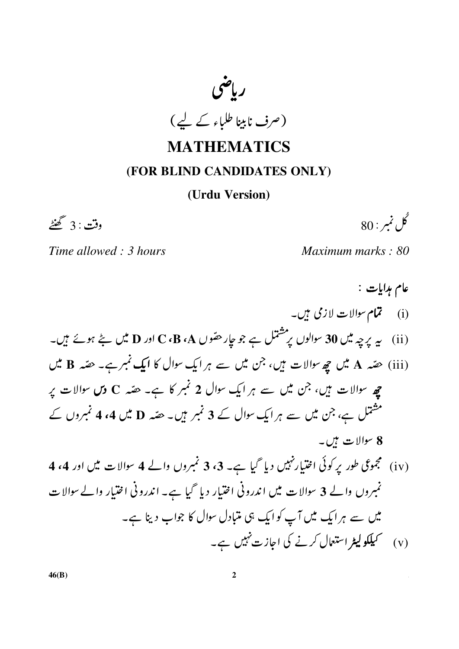

## **MATHEMATICS**

### (FOR BLIND CANDIDATES ONLY)

#### (Urdu Version)

وقت : 3 گھنٹے

گل نمبر : 80

Maximum marks: 80

Time allowed: 3 hours

عام مدايات : (i) تمام سوالات لازمی ہیں۔ (ii) سے پرچہ میں 30 سوالوں پر مشتمل ہے جو جار حصّوں C ،B ،A اور D میں بنچ ہوئے ہیں۔ (iii) حقیہ A میں چھ سوالات ہیں، جن میں سے ہر ایک سوال کا ایک نمبرے۔ حقیہ B میں چھ سوالات ہیں، جن میں سے ہر ایک سوال 2 نمبر کا ہے۔ حصّہ C وس سوالات پر مشتمل ہے، جن میں سے ہر ایک سوال کے 3 نمبر ہیں۔ حقبہ D میں 4، 4 نمبروں کے 8 سوالات ہیں۔ (iv) مجموعی طور یر کوئی اختیار نہیں دیا گیا ہے۔ 3، 3 نمبروں والے 4 سوالات میں اور 4، 4 نمبروں والے 3 سوالات میں اندرونی اختیار دیا گیا ہے۔ اندرونی اختیار والے سوالات میں سے ہر ایک میں آپ کو ایک ہی متبادل سوال کا جواب دینا ہے۔ (v) سمیلکو لیٹر استعال کرنے کی اجازت نہیں ہے۔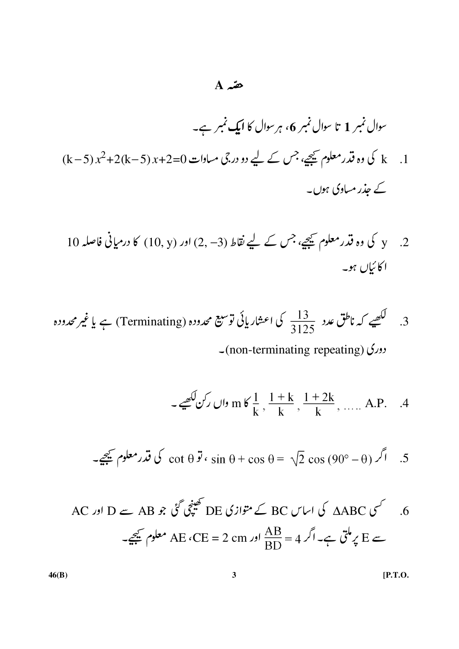## $A \nightharpoonup$

$$
\frac{13}{3125} \text{ We (Terminating)}
$$

دورکی (non-terminating repeating)

- 
$$
\frac{1}{k}
$$
,  $\frac{1+k}{k}$ ,  $\frac{1+2k}{k}$ , ..., A.P. . .4

5. اگر (0-90) کی قدر معاوہ کیچے 15 s  
in 
$$
\theta + \cos \theta = \sqrt{2} \cos (90^\circ - \theta)
$$

$$
\text{AC} \quad \text{AB} \quad \text{A} \quad \text{B} \quad \text{B} \quad \text{C} \quad \text{C} \quad \text{B} \quad \text{C} \quad \text{C} \quad \text{C} \quad \text{C} \quad \text{C} \quad \text{C} \quad \text{A} \quad \text{D} \quad \text{C} \quad \text{D} \quad \text{D} \quad \text{D} \quad \text{D} \quad \text{D} \quad \text{D} \quad \text{D} \quad \text{D} \quad \text{D} \quad \text{D} \quad \text{D} \quad \text{D} \quad \text{D} \quad \text{D} \quad \text{D} \quad \text{D} \quad \text{D} \quad \text{D} \quad \text{D} \quad \text{D} \quad \text{D} \quad \text{D} \quad \text{D} \quad \text{D} \quad \text{D} \quad \text{D} \quad \text{D} \quad \text{D} \quad \text{D} \quad \text{D} \quad \text{D} \quad \text{D} \quad \text{D} \quad \text{D} \quad \text{D} \quad \text{D} \quad \text{D} \quad \text{D} \quad \text{D} \quad \text{D} \quad \text{D} \quad \text{D} \quad \text{D} \quad \text{D} \quad \text{D} \quad \text{D} \quad \text{D} \quad \text{D} \quad \text{D} \quad \text{D} \quad \text{D} \quad \text{D} \quad \text{D} \quad \text{D} \quad \text{D} \quad \text{D} \quad \text{D} \quad \text{D} \quad \text{D} \quad \text{D} \quad \text{D} \quad \text{D} \quad \text{D} \quad \text{D} \quad \text{D} \quad \text{D} \quad \text{D} \quad \text{D} \quad \text{D} \quad \text{D} \quad \text{D} \quad \text{D} \quad \text{D} \quad \text{D} \quad \text{D} \quad \text{D} \quad \text{D} \quad \text{D} \quad \text{D} \quad \text{D} \quad \text{D} \quad \text{D} \quad \text{D} \quad \text{D} \quad \text{D} \quad \text{D} \quad \text{D} \quad \text{D} \quad \text{D} \quad \text{D} \quad \text{D} \quad \text{
$$

 $[P.T.O.]$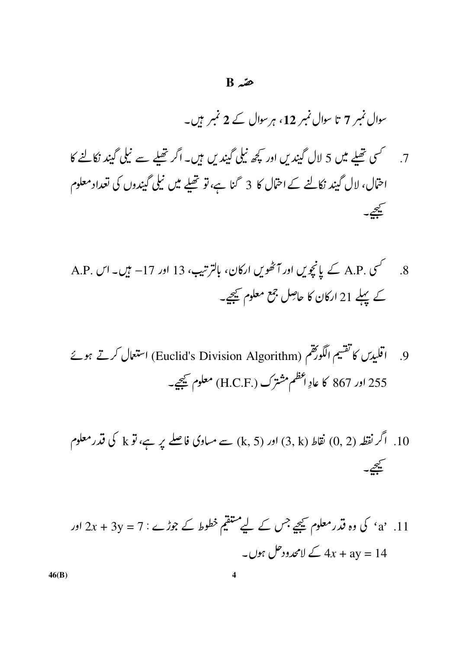#### $B \nightharpoonup$

سوال نمبر 7 تا سوال نمبر 12، ہر سوال کے 2 نمبر ہیں۔

- احتمال، لال گیند نکالنے کے احتمال کا 3 گنا ہے، تو تھلے میں نیلی گیندوں کی تعداد معلوم يجيے۔
- A.P. کسی A.P. کے پانچویں اور آٹھویں ارکان، بالترتیب، 13 اور 17− ہیں۔ اس  $\overline{8}$ کے پہلے 21 ارکان کا حاصِل جمع معلوم کیجیے۔
- اقليدس كاتفتيم الكورُهم (Euclid's Division Algorithm) استعمال كرتے ہوئے  $\overline{9}$ 255 اور 867 کا عادِ اعظم مشترک (.H.C.F) معلوم کیچیے۔
- 10. اگر نقطہ (0, 2) نقاط (3, 4) اور (5, x) سے میاوی فاصلے پر ہے، تو k کی قدر معلوم سيحي
- a' .11 . 'a' کی وہ قدر معلوم کیجیے جس کے لیے متعقیم خطوط کے جوڑے : 7 = 2x + 3y اور ے لامحدودحل ہوں۔  $4x + 3y = 14$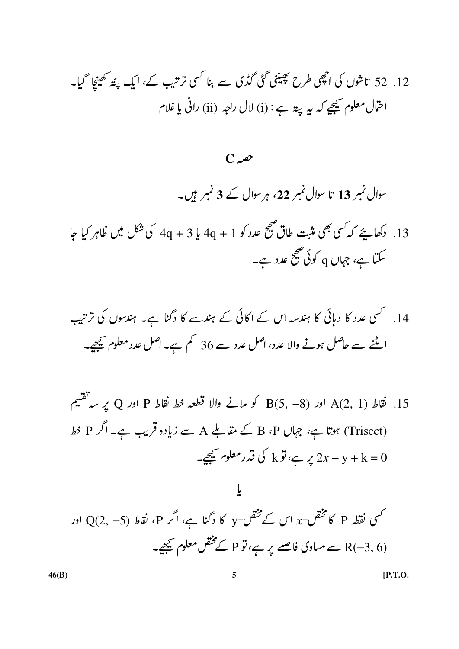12. 52 تاشوں کی اچھی طرح پھینٹی گئی گڈی سے بنا کسی ترتیب کے، ایک پتّہ کھینجا گیا۔ اختال معلوم ﷺ ہے : (i) لال راجہ (ii) رانی یا غلام

 $C_{\infty}$ 

سوال نمبر 13 تا سوال نمبر 22، ہر سوال کے 3 نمبر ہیں۔

13. دکھاہئے کہ کسی بھی مثبت طاق صحیح عدد کو 1 + 4q یا 3 + 4q کی شکل میں ظاہر کیا جا سکتا ہے، جہاں q کوئی صحیح عدد ہے۔

 $\mathcal{A}(2,\ 1)$  اور  $\mathcal{A}(2,-8)$  اور  $\mathcal{B}(5,-8)$  کو ملانے والا قطعہ خط نقاط P اور Q یر سہ تقسیم  $\mathcal{A}(2,\ 1)$ (Trisect) ہوتا ہے، جہاں B ،P کے مقاملے A سے زیادہ قریب ہے۔ اگر P خط یہ ہے، تو k کی قدرمعلوم کیجیے۔  $2x - y + k = 0$ 

کسی نقطہ P کا مختص-x اس کے مختص-y کا دگنا ہے، اگر P، نقاط (p <) O(2, –5) اور  $\chi$ (R(–3, 6 سے میاوی فاصلے پر ہے، تو P کے مختص معلوم کیجیے۔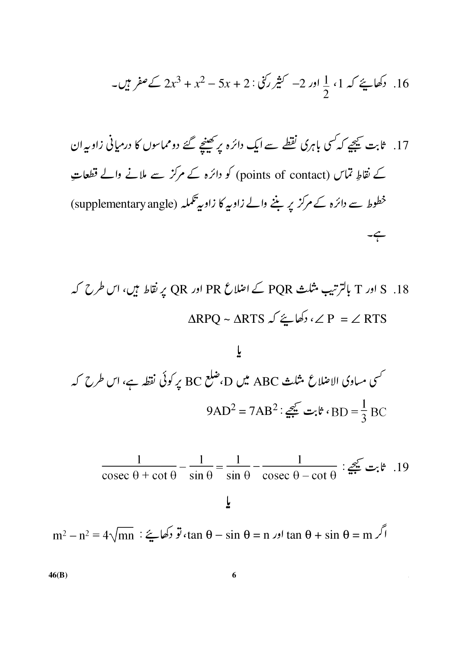16. دکھا ہئے کہ 1، 
$$
\frac{1}{2}
$$
 اور 2– کثیر کئی : 2 + x<sup>2</sup> – 5x + 2 – 2x<sup>3</sup> + x<sup>2</sup> – 5x + 2 = 2x<sup>3</sup>

S . 18 اور T بالترتیب شلث PQR ک اضلاع PQR اور RD پر້نقاط ہیں، اس طرح کہ  
APQ ~ 
$$
\triangle
$$
 RTS ∠ دکھا ہے َ کہ یا $\triangle$  P = ∠ RTS

$$
\frac{1}{2}
$$
\n
$$
\frac{1}{2}
$$
\n
$$
\frac{1}{2}
$$
\n
$$
\frac{1}{2}
$$
\n
$$
\frac{1}{2}
$$
\n
$$
\frac{1}{2}
$$
\n
$$
\frac{1}{2}
$$
\n
$$
\frac{1}{2}
$$
\n
$$
\frac{1}{2}
$$
\n
$$
\frac{1}{2}
$$
\n
$$
\frac{1}{2}
$$
\n
$$
\frac{1}{2}
$$
\n
$$
\frac{1}{2}
$$
\n
$$
\frac{1}{2}
$$
\n
$$
\frac{1}{2}
$$
\n
$$
\frac{1}{2}
$$
\n
$$
\frac{1}{2}
$$
\n
$$
\frac{1}{2}
$$
\n
$$
\frac{1}{2}
$$
\n
$$
\frac{1}{2}
$$
\n
$$
\frac{1}{2}
$$
\n
$$
\frac{1}{2}
$$
\n
$$
\frac{1}{2}
$$
\n
$$
\frac{1}{2}
$$
\n
$$
\frac{1}{2}
$$
\n
$$
\frac{1}{2}
$$
\n
$$
\frac{1}{2}
$$
\n
$$
\frac{1}{2}
$$
\n
$$
\frac{1}{2}
$$
\n
$$
\frac{1}{2}
$$
\n
$$
\frac{1}{2}
$$
\n
$$
\frac{1}{2}
$$
\n
$$
\frac{1}{2}
$$
\n
$$
\frac{1}{2}
$$
\n
$$
\frac{1}{2}
$$
\n
$$
\frac{1}{2}
$$
\n
$$
\frac{1}{2}
$$
\n
$$
\frac{1}{2}
$$
\n
$$
\frac{1}{2}
$$
\n
$$
\frac{1}{2}
$$
\n
$$
\frac{1}{2}
$$
\n
$$
\frac{1}{2}
$$
\n
$$
\frac{1}{2}
$$
\n
$$
\frac{1}{2}
$$
\n
$$
\frac{1}{2}
$$
\n
$$
\frac{1}{2}
$$
\n
$$
\frac{1}{2}
$$
\n
$$
\frac{1}{2}
$$
\n
$$
\frac{1}{2}
$$
\n
$$
\frac{1}{2}
$$
\n
$$
\frac{1}{2}
$$
\

$$
\frac{1}{\csc \theta + \cot \theta} - \frac{1}{\sin \theta} = \frac{1}{\sin \theta} - \frac{1}{\csc \theta - \cot \theta} : \underbrace{\mathcal{Z}^{\mathcal{L}}}_{\mathcal{Z}^{\mathcal{L}} \mathcal{Z}^{\mathcal{L}}}_{\mathcal{Z}} \mathcal{Z}^{\mathcal{L}}.
$$
19

$$
m^2 - n^2 = 4\sqrt{mn}
$$
 :  $\xi$   $\xi$   $\xi$   $\xi$   $\xi$   $\xi$   $\xi$   $\xi$   $\xi$   $\xi$   $\xi$   $\xi$   $\xi$   $\xi$   $\xi$   $\xi$   $\xi$   $\xi$   $\xi$   $\xi$   $\xi$   $\xi$   $\xi$   $\xi$   $\xi$   $\xi$   $\xi$   $\xi$   $\xi$   $\xi$   $\xi$   $\xi$   $\xi$   $\xi$   $\xi$   $\xi$   $\xi$   $\xi$   $\xi$   $\xi$   $\xi$   $\xi$   $\xi$   $\xi$   $\xi$   $\xi$   $\xi$   $\xi$   $\xi$   $\xi$   $\xi$   $\xi$   $\xi$   $\xi$   $\xi$   $\xi$   $\xi$   $\xi$   $\xi$   $\xi$   $\xi$   $\xi$   $\xi$   $\xi$   $\xi$   $\xi$   $\xi$   $\xi$   $\xi$   $\xi$   $\xi$   $\xi$   $\xi$   $\xi$   $\xi$   $\xi$   $\xi$   $\xi$   $\xi$   $\xi$   $\xi$   $\xi$   $\xi$   $\xi$   $\xi$   $\xi$   $\xi$   $\xi$   $\xi$   $\xi$   $\xi$   $\xi$   $\xi$   $\xi$   $\xi$   $\xi$   $\xi$   $\xi$   $\xi$   $\xi$   $\xi$   $\xi$   $\xi$   $\xi$   $\xi$   $\xi$   $\$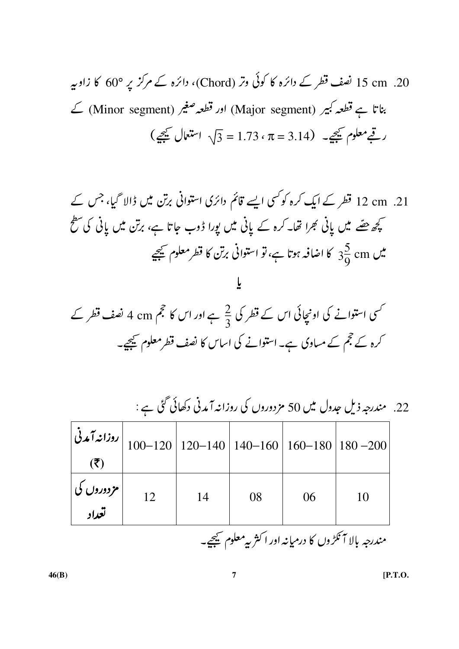$\mathbf{L}$ 

کسی استوانے کی اونچائی اس کے قطر کی <sup>2</sup>ے ہے اور اس کا حجم 4 cm ک<sup>ے</sup> نصف قطر کے کرہ کے حجم کے مساوی ہے۔استوانے کی اساس کا نصف قطرمعلوم کیجیے۔

|                                                         |    |    |    |    | 22. مندرجہ ذیل جدول میں 50 مزدوروں کی روزانہ آمدنی دکھائی گئی ہے :                                         |  |
|---------------------------------------------------------|----|----|----|----|------------------------------------------------------------------------------------------------------------|--|
|                                                         |    |    |    |    | روزاند آمدنی $\bigg  100 - 120 \bigg  120 - 140 \bigg  140 - 160 \bigg  160 - 180 \bigg  180 - 200 \bigg $ |  |
| $(\overline{\mathbf{z}})$                               |    |    |    |    |                                                                                                            |  |
| مزدوروں کی                                              | 12 | 14 | 08 | 06 | 10                                                                                                         |  |
| تعداد                                                   |    |    |    |    |                                                                                                            |  |
| مندرجه بالا آنكڑوں كا درميانہ اور اکثر بہ معلوم كيمجيے۔ |    |    |    |    |                                                                                                            |  |

 $\mathscr{C}$  $\overline{2}$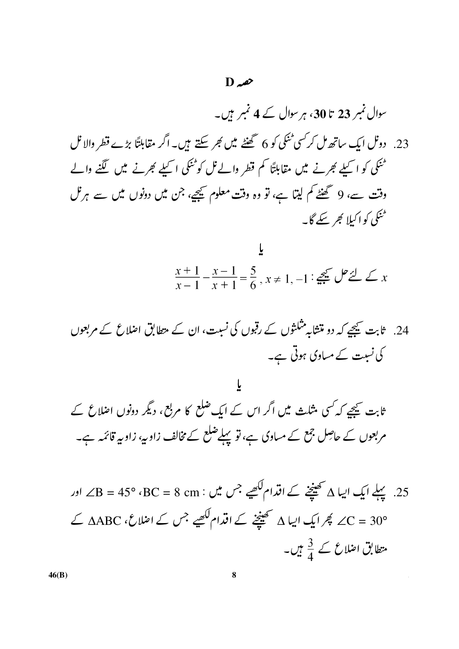سوال نمبر 23 تا 30، ہر سوال کے 4 نمبر ہیں۔

23. دونل ایک ساتھ مل کر سی ٹنکی کو 6 گھنٹے میں بھر سکتے ہیں۔ اگر مقابلتًا بڑے قطر والا نل ٹنکی کو اسملے بھرنے میں مقابلتاً کم قطر والے ٹل کوٹنکی اسملے بھرنے میں لگنے والے وقت سے، 9 گھنٹے کم لیتا ہے، تو وہ وقت معلوم کیجیے، جن میں دونوں میں سے ہرنل ٹمنگی کو اکیلا کجر سکے گا۔

$$
\frac{x+1}{x-1} - \frac{x-1}{x+1} = \frac{5}{6}, x \neq 1, -1 : \frac{5}{24} \cup \frac{5}{24} \cup x
$$

 $\mathfrak{r}$ ثابت کیجے کہ *کسی* مثلث میں اگر اس کے ایک ضلع کا مربع، دیگر دونوں اضلاع کے مربعوں کے حاصل جمع کے مساوی ہے، تو پہلےضلع کے مخالف زاویہ، زاویہ قائمہ ہے۔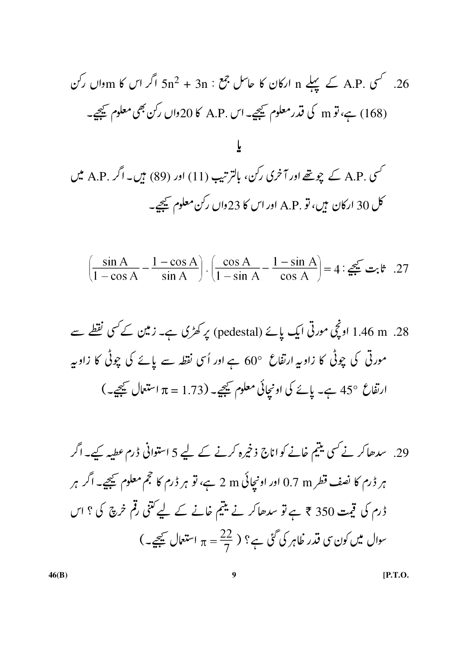$$
\left(\frac{\sin A}{1-\cos A} - \frac{1-\cos A}{\sin A}\right) \cdot \left(\frac{\cos A}{1-\sin A} - \frac{1-\sin A}{\cos A}\right) = 4 : \underbrace{\mathcal{Z}^{\mathcal{L}}}_{\mathcal{Z}} \underbrace{\mathcal{Z}^{\mathcal{L}}}_{\mathcal{Z}}.
$$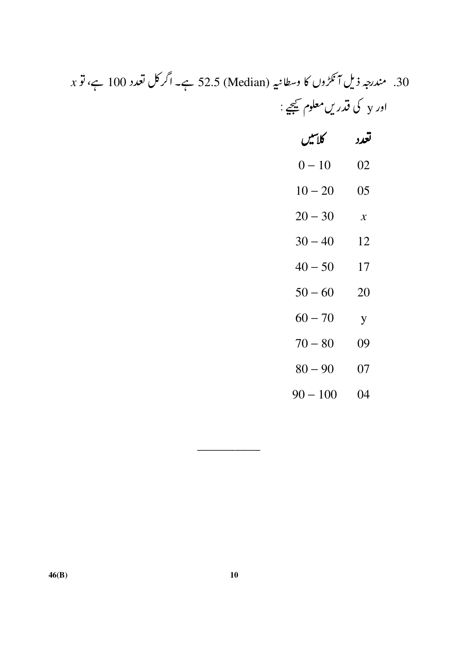# 30. مندرجہ ذیل آنکڑوں کا وسطانیہ (Median) 52.5 ہے۔ اگر کل تعدد 100 ہے، تو x اور y کی قدریں معلوم ﷺ :

| كلاتيل     | تعدد           |
|------------|----------------|
| $0 - 10$   | 02             |
| $10 - 20$  | 05             |
| $20 - 30$  | $\mathcal{X}$  |
| $30 - 40$  | 12             |
| $40 - 50$  | 17             |
| $50 - 60$  | 20             |
| $60 - 70$  | $\overline{y}$ |
| $70 - 80$  | 09             |
| $80 - 90$  | 07             |
| $90 - 100$ | 04             |